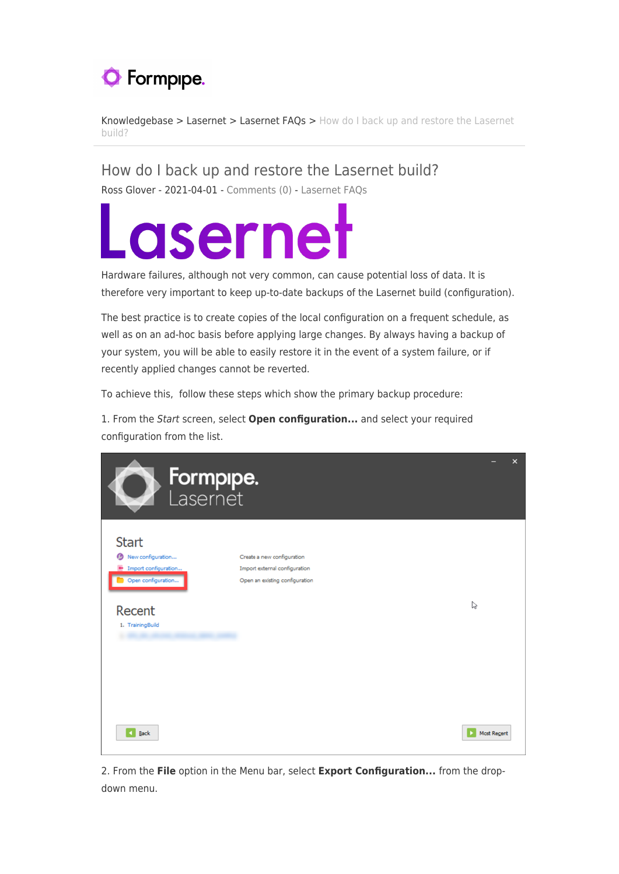

[Knowledgebase](https://support.formpipe.com/kb) > [Lasernet](https://support.formpipe.com/kb/lasernet-2) > [Lasernet FAQs](https://support.formpipe.com/kb/lasernet-faqs-2) > [How do I back up and restore the Lasernet](https://support.formpipe.com/kb/articles/how-do-i-back-up-and-restore-the-lasernet-build) [build?](https://support.formpipe.com/kb/articles/how-do-i-back-up-and-restore-the-lasernet-build)

How do I back up and restore the Lasernet build?

Ross Glover - 2021-04-01 - [Comments \(0\)](#page--1-0) - [Lasernet FAQs](https://support.formpipe.com/kb/lasernet-faqs-2)

## Lasernet

Hardware failures, although not very common, can cause potential loss of data. It is therefore very important to keep up-to-date backups of the Lasernet build (configuration).

The best practice is to create copies of the local configuration on a frequent schedule, as well as on an ad-hoc basis before applying large changes. By always having a backup of your system, you will be able to easily restore it in the event of a system failure, or if recently applied changes cannot be reverted.

To achieve this, follow these steps which show the primary backup procedure:

1. From the Start screen, select **Open configuration...** and select your required configuration from the list.

| <b>Formpipe.</b><br>Lasernet<br>D                                                                             |                                                                                               | $\boldsymbol{\mathsf{x}}$ |
|---------------------------------------------------------------------------------------------------------------|-----------------------------------------------------------------------------------------------|---------------------------|
| <b>Start</b><br>New configuration<br>Import configuration<br>Open configuration<br>Recent<br>1. TrainingBuild | Create a new configuration<br>Import external configuration<br>Open an existing configuration | ↳                         |
| 4 Back                                                                                                        |                                                                                               | Most Regent               |

2. From the **File** option in the Menu bar, select **Export Configuration...** from the dropdown menu.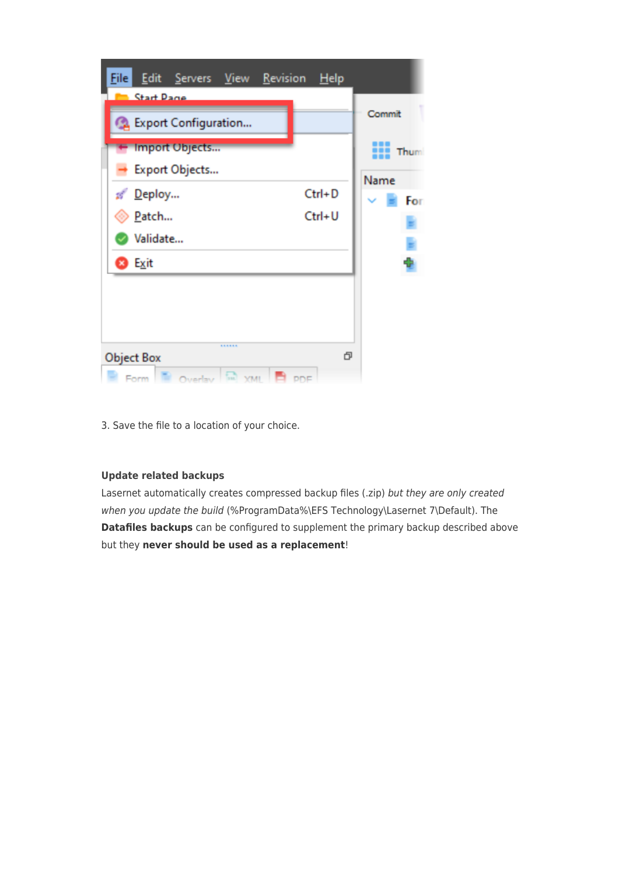

3. Save the file to a location of your choice.

## **Update related backups**

Lasernet automatically creates compressed backup files (.zip) but they are only created when you update the build (%ProgramData%\EFS Technology\Lasernet 7\Default). The **Datafiles backups** can be configured to supplement the primary backup described above but they **never should be used as a replacement**!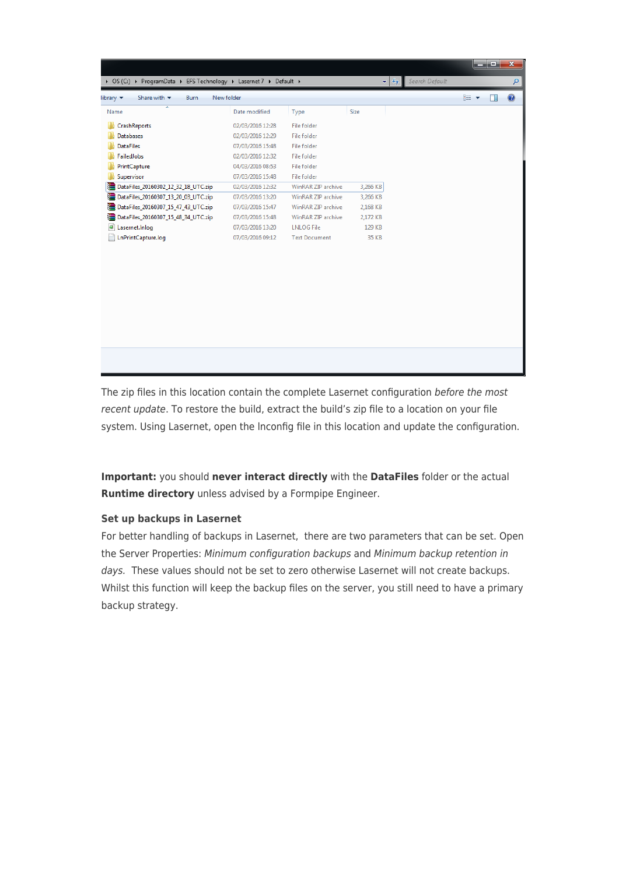| Share with $\blacktriangledown$<br>Burn<br>library $\blacktriangledown$ | New folder       |                      |          | 888 ▼ | 0<br>П |
|-------------------------------------------------------------------------|------------------|----------------------|----------|-------|--------|
| ≖<br>Name                                                               | Date modified    | Type                 | Size     |       |        |
| CrashReports                                                            | 02/03/2016 12:28 | File folder          |          |       |        |
| <b>Databases</b>                                                        | 02/03/2016 12:29 | File folder          |          |       |        |
| <b>DataFiles</b>                                                        | 07/03/2016 15:48 | File folder          |          |       |        |
| <b>FailedJobs</b>                                                       | 02/03/2016 12:32 | File folder          |          |       |        |
| PrintCapture                                                            | 04/03/2016 08:53 | File folder          |          |       |        |
| Supervisor                                                              | 07/03/2016 15:48 | File folder          |          |       |        |
| DataFiles_20160302_12_32_18_UTC.zip                                     | 02/03/2016 12:32 | WinRAR ZIP archive   | 3,266 KB |       |        |
| ≌<br>DataFiles_20160307_13_20_03_UTC.zip                                | 07/03/2016 13:20 | WinRAR ZIP archive   | 3,266 KB |       |        |
| DataFiles_20160307_15_47_43_UTC.zip                                     | 07/03/2016 15:47 | WinRAR ZIP archive   | 2,168 KB |       |        |
| DataFiles_20160307_15_48_34_UTC.zip                                     | 07/03/2016 15:48 | WinRAR ZIP archive   | 2,172 KB |       |        |
| ø<br>Lasernet.Inlog                                                     | 07/03/2016 13:20 | <b>LNLOG File</b>    | 129 KB   |       |        |
| LnPrintCapture.log                                                      | 07/03/2016 09:12 | <b>Text Document</b> | 35 KB    |       |        |
|                                                                         |                  |                      |          |       |        |
|                                                                         |                  |                      |          |       |        |
|                                                                         |                  |                      |          |       |        |
|                                                                         |                  |                      |          |       |        |
|                                                                         |                  |                      |          |       |        |
|                                                                         |                  |                      |          |       |        |

The zip files in this location contain the complete Lasernet configuration before the most recent update. To restore the build, extract the build's zip file to a location on your file system. Using Lasernet, open the lnconfig file in this location and update the configuration.

**Important:** you should **never interact directly** with the **DataFiles** folder or the actual **Runtime directory** unless advised by a Formpipe Engineer.

## **Set up backups in Lasernet**

For better handling of backups in Lasernet, there are two parameters that can be set. Open the Server Properties: Minimum configuration backups and Minimum backup retention in days. These values should not be set to zero otherwise Lasernet will not create backups. Whilst this function will keep the backup files on the server, you still need to have a primary backup strategy.